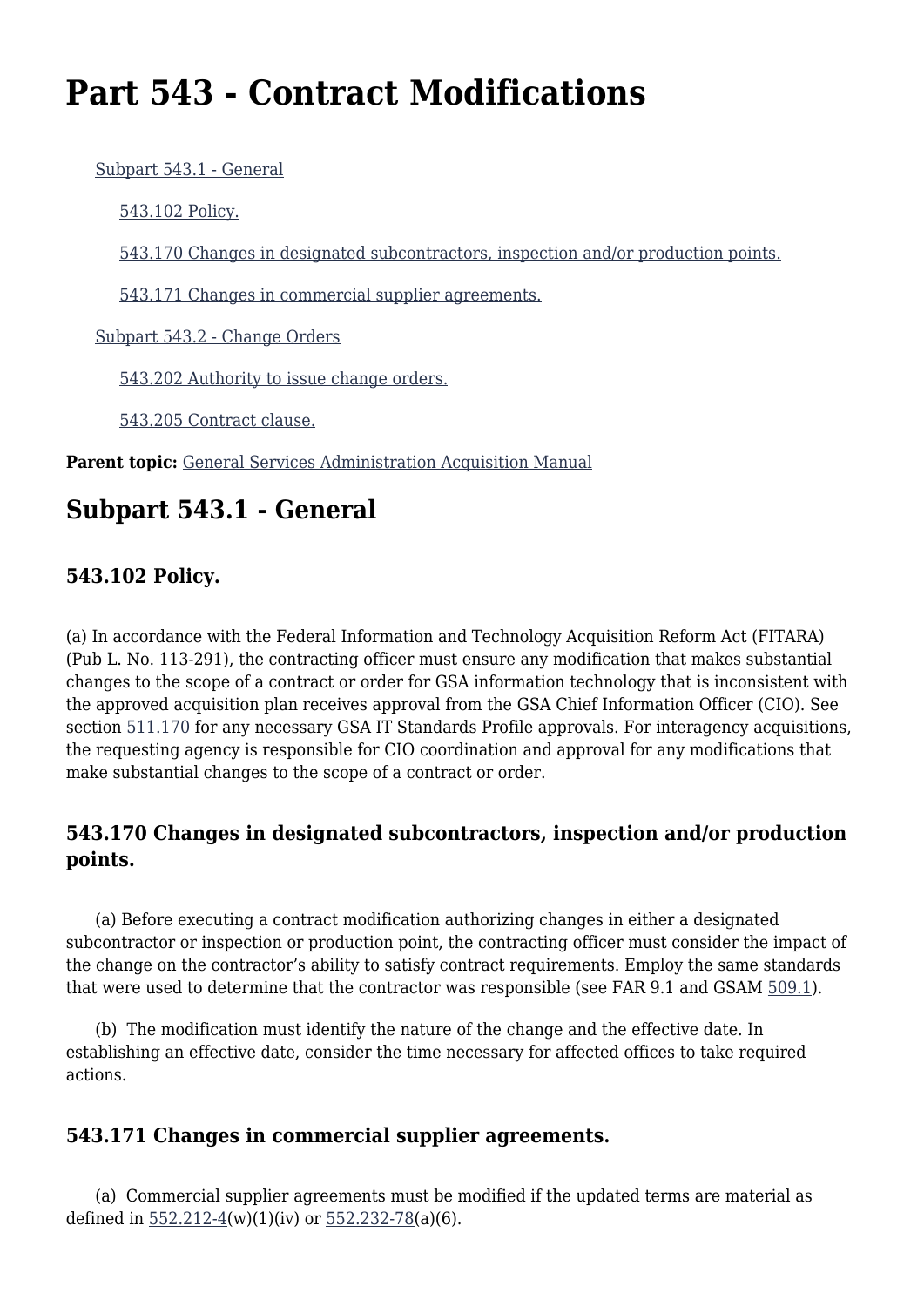# **Part 543 - Contract Modifications**

[Subpart 543.1 - General](#page--1-0)

[543.102 Policy.](#page--1-0)

[543.170 Changes in designated subcontractors, inspection and/or production points.](#page--1-0)

[543.171 Changes in commercial supplier agreements.](#page--1-0)

[Subpart 543.2 - Change Orders](#page--1-0)

[543.202 Authority to issue change orders.](#page--1-0)

[543.205 Contract clause.](#page--1-0)

Parent topic: [General Services Administration Acquisition Manual](https://www.acquisition.gov/content/general-services-administration-acquisition-manual-5)

# **Subpart 543.1 - General**

## **543.102 Policy.**

(a) In accordance with the Federal Information and Technology Acquisition Reform Act (FITARA) (Pub L. No. 113-291), the contracting officer must ensure any modification that makes substantial changes to the scope of a contract or order for GSA information technology that is inconsistent with the approved acquisition plan receives approval from the GSA Chief Information Officer (CIO). See section [511.170](https://www.acquisition.gov/gsam/part-511#GSAM_511_170) for any necessary GSA IT Standards Profile approvals. For interagency acquisitions, the requesting agency is responsible for CIO coordination and approval for any modifications that make substantial changes to the scope of a contract or order.

#### **543.170 Changes in designated subcontractors, inspection and/or production points.**

 (a) Before executing a contract modification authorizing changes in either a designated subcontractor or inspection or production point, the contracting officer must consider the impact of the change on the contractor's ability to satisfy contract requirements. Employ the same standards that were used to determine that the contractor was responsible (see FAR 9.1 and GSAM [509.1](https://www.acquisition.gov/gsam/part-509#GSAM_Subpart_509_1)).

 (b) The modification must identify the nature of the change and the effective date. In establishing an effective date, consider the time necessary for affected offices to take required actions.

## **543.171 Changes in commercial supplier agreements.**

 (a) Commercial supplier agreements must be modified if the updated terms are material as defined in [552.212-4](https://www.acquisition.gov/gsam/part-552#GSAM_552_212_4)(w)(1)(iv) or [552.232-78\(](https://www.acquisition.gov/gsam/part-552#GSAM_552_232_78)a)(6).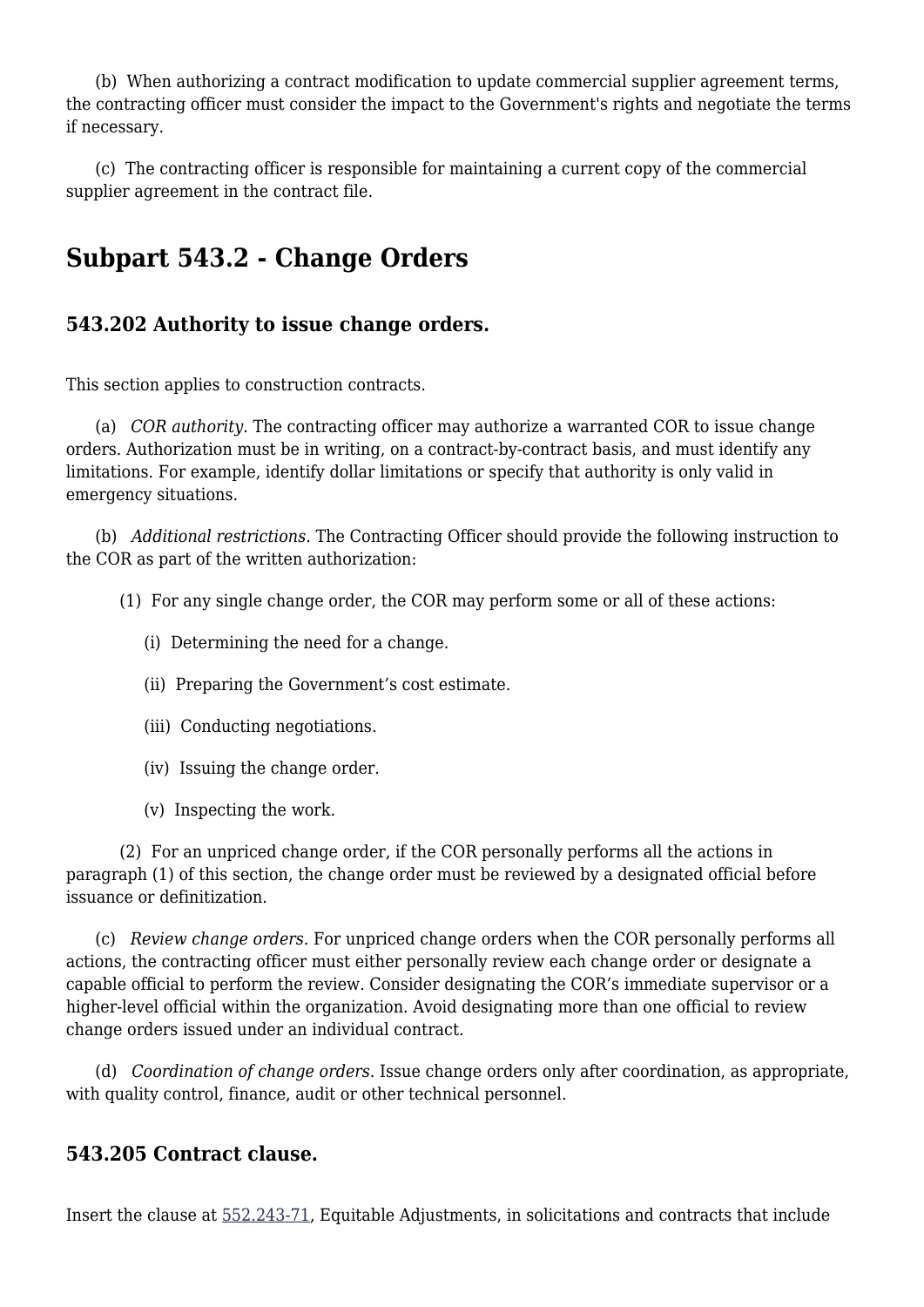(b) When authorizing a contract modification to update commercial supplier agreement terms, the contracting officer must consider the impact to the Government's rights and negotiate the terms if necessary.

 (c) The contracting officer is responsible for maintaining a current copy of the commercial supplier agreement in the contract file.

# **Subpart 543.2 - Change Orders**

#### **543.202 Authority to issue change orders.**

This section applies to construction contracts.

 (a) *COR authority*. The contracting officer may authorize a warranted COR to issue change orders. Authorization must be in writing, on a contract-by-contract basis, and must identify any limitations. For example, identify dollar limitations or specify that authority is only valid in emergency situations.

 (b) *Additional restrictions*. The Contracting Officer should provide the following instruction to the COR as part of the written authorization:

(1) For any single change order, the COR may perform some or all of these actions:

- (i) Determining the need for a change.
- (ii) Preparing the Government's cost estimate.
- (iii) Conducting negotiations.
- (iv) Issuing the change order.
- (v) Inspecting the work.

 (2) For an unpriced change order, if the COR personally performs all the actions in paragraph (1) of this section, the change order must be reviewed by a designated official before issuance or definitization.

 (c) *Review change orders*. For unpriced change orders when the COR personally performs all actions, the contracting officer must either personally review each change order or designate a capable official to perform the review. Consider designating the COR's immediate supervisor or a higher-level official within the organization. Avoid designating more than one official to review change orders issued under an individual contract.

 (d) *Coordination of change orders*. Issue change orders only after coordination, as appropriate, with quality control, finance, audit or other technical personnel.

#### **543.205 Contract clause.**

Insert the clause at [552.243-71,](https://www.acquisition.gov/gsam/part-552#GSAM_552_243_71) Equitable Adjustments, in solicitations and contracts that include